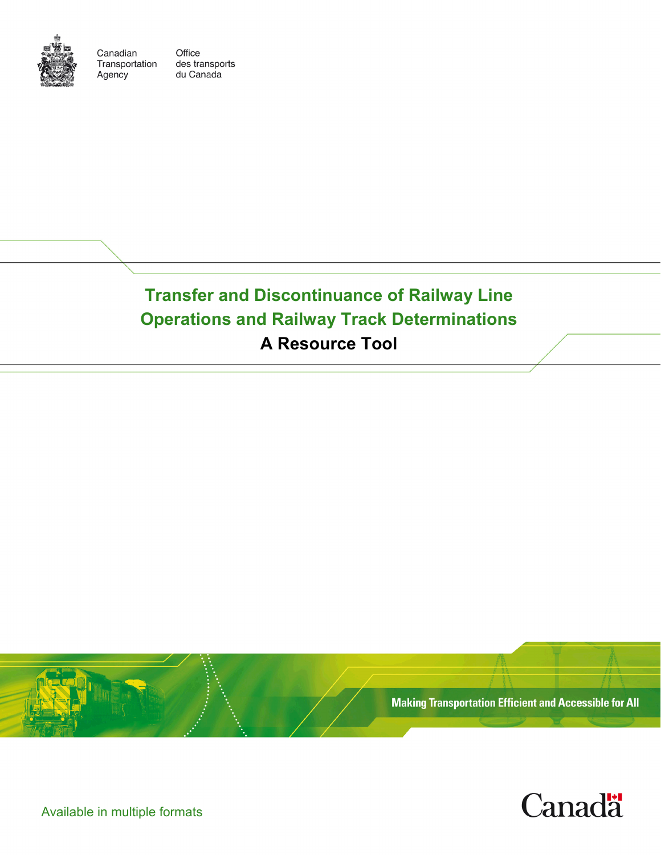

Canadian Transportation Agency

Office des transports du Canada

**Transfer and Discontinuance of Railway Line Operations and Railway Track Determinations A Resource Tool**





Available in multiple formats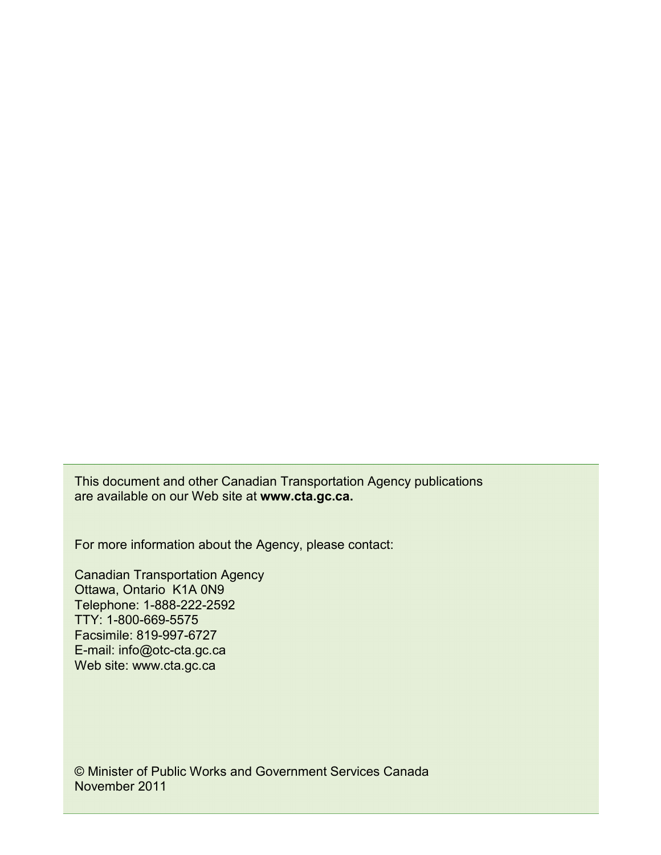This document and other Canadian Transportation Agency publications are available on our Web site at **www.cta.gc.ca.**

For more information about the Agency, please contact:

Canadian Transportation Agency Ottawa, Ontario<sup>K1A</sup> 0N9 Telephone: 1-888-222-2592 TTY: 1-800-669-5575 Facsimile: 819-997-6727 E-mail: info@otc-cta.gc.ca Web site: www.cta.gc.ca

© Minister of Public Works and Government Services Canada November 2011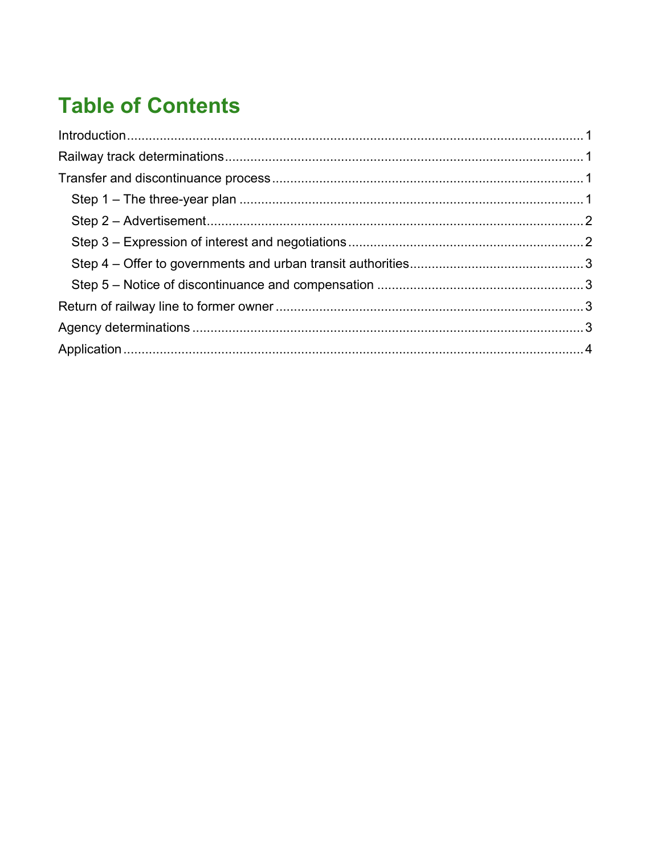# **Table of Contents**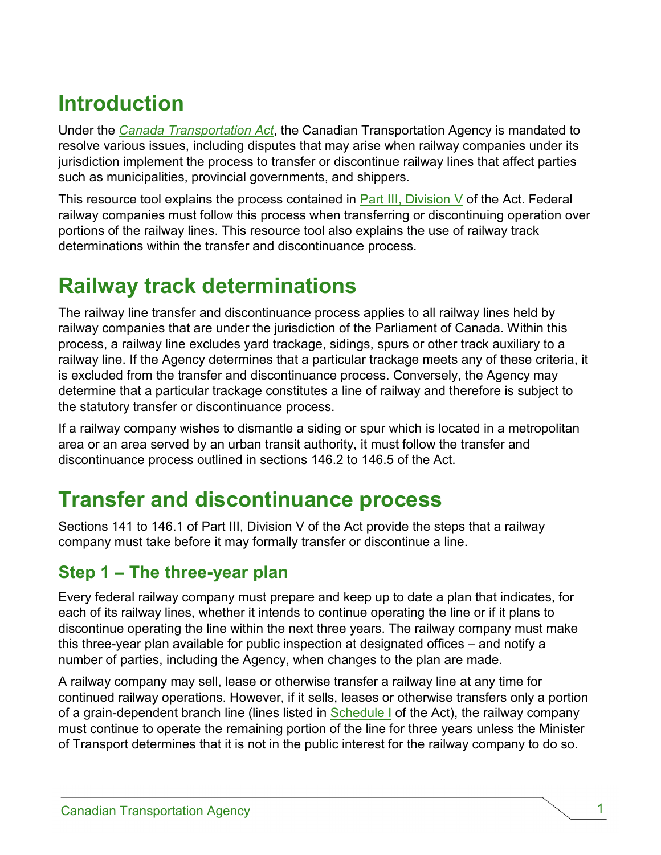# <span id="page-3-0"></span>**Introduction**

Under the *[Canada Transportation Act](http://laws.justice.gc.ca/en/C-10.4/index.html)*, the Canadian Transportation Agency is mandated to resolve various issues, including disputes that may arise when railway companies under its jurisdiction implement the process to transfer or discontinue railway lines that affect parties such as municipalities, provincial governments, and shippers.

This resource tool explains the process contained in [Part III, Division V](http://laws-lois.justice.gc.ca/eng/acts/C-10.4/FullText.html#h-71) of the Act. Federal railway companies must follow this process when transferring or discontinuing operation over portions of the railway lines. This resource tool also explains the use of railway track determinations within the transfer and discontinuance process.

# <span id="page-3-1"></span>**Railway track determinations**

The railway line transfer and discontinuance process applies to all railway lines held by railway companies that are under the jurisdiction of the Parliament of Canada. Within this process, a railway line excludes yard trackage, sidings, spurs or other track auxiliary to a railway line. If the Agency determines that a particular trackage meets any of these criteria, it is excluded from the transfer and discontinuance process. Conversely, the Agency may determine that a particular trackage constitutes a line of railway and therefore is subject to the statutory transfer or discontinuance process.

If a railway company wishes to dismantle a siding or spur which is located in a metropolitan area or an area served by an urban transit authority, it must follow the transfer and discontinuance process outlined in sections 146.2 to 146.5 of the Act.

# <span id="page-3-2"></span>**Transfer and discontinuance process**

Sections 141 to 146.1 of Part III, Division V of the Act provide the steps that a railway company must take before it may formally transfer or discontinue a line.

#### <span id="page-3-3"></span>**Step 1 – The three-year plan**

Every federal railway company must prepare and keep up to date a plan that indicates, for each of its railway lines, whether it intends to continue operating the line or if it plans to discontinue operating the line within the next three years. The railway company must make this three-year plan available for public inspection at designated offices – and notify a number of parties, including the Agency, when changes to the plan are made.

A railway company may sell, lease or otherwise transfer a railway line at any time for continued railway operations. However, if it sells, leases or otherwise transfers only a portion of a grain-dependent branch line (lines listed in [Schedule I](http://laws-lois.justice.gc.ca/eng/acts/C-10.4/FullText.html#h-99) of the Act), the railway company must continue to operate the remaining portion of the line for three years unless the Minister of Transport determines that it is not in the public interest for the railway company to do so.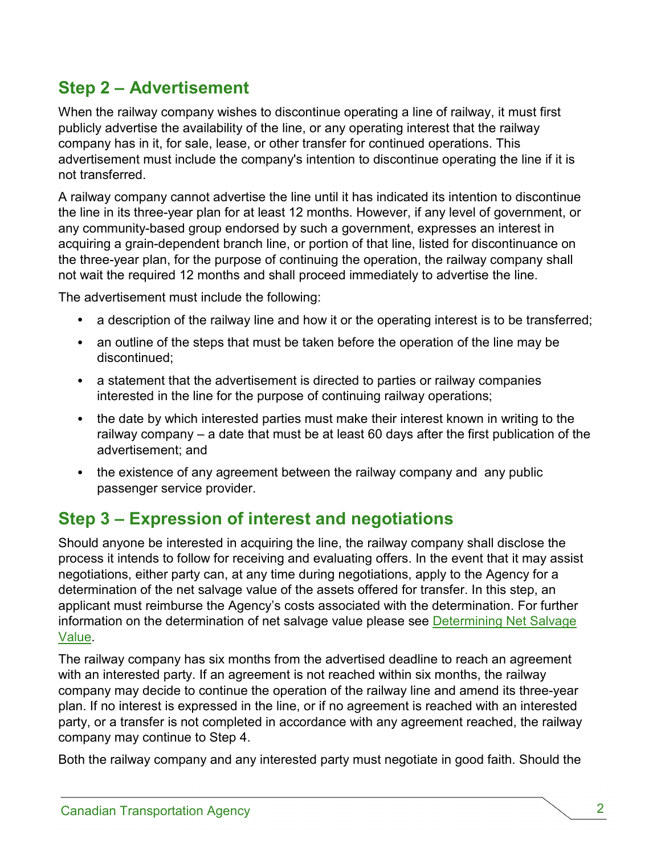## <span id="page-4-0"></span>**Step 2 – Advertisement**

When the railway company wishes to discontinue operating a line of railway, it must first publicly advertise the availability of the line, or any operating interest that the railway company has in it, for sale, lease, or other transfer for continued operations. This advertisement must include the company's intention to discontinue operating the line if it is not transferred.

A railway company cannot advertise the line until it has indicated its intention to discontinue the line in its three-year plan for at least 12 months. However, if any level of government, or any community-based group endorsed by such a government, expresses an interest in acquiring a grain-dependent branch line, or portion of that line, listed for discontinuance on the three-year plan, for the purpose of continuing the operation, the railway company shall not wait the required 12 months and shall proceed immediately to advertise the line.

The advertisement must include the following:

- a description of the railway line and how it or the operating interest is to be transferred;
- an outline of the steps that must be taken before the operation of the line may be discontinued;
- a statement that the advertisement is directed to parties or railway companies interested in the line for the purpose of continuing railway operations;
- the date by which interested parties must make their interest known in writing to the railway company – a date that must be at least 60 days after the first publication of the advertisement; and
- the existence of any agreement between the railway company and any public passenger service provider.

#### <span id="page-4-1"></span>**Step 3 – Expression of interest and negotiations**

Should anyone be interested in acquiring the line, the railway company shall disclose the process it intends to follow for receiving and evaluating offers. In the event that it may assist negotiations, either party can, at any time during negotiations, apply to the Agency for a determination of the net salvage value of the assets offered for transfer. In this step, an applicant must reimburse the Agency's costs associated with the determination. For further information on the determination of net salvage value please see **Determining Net Salvage** [Value.](http://www.otc-cta.gc.ca/eng/publication/determining-net-salvage-value)

The railway company has six months from the advertised deadline to reach an agreement with an interested party. If an agreement is not reached within six months, the railway company may decide to continue the operation of the railway line and amend its three-year plan. If no interest is expressed in the line, or if no agreement is reached with an interested party, or a transfer is not completed in accordance with any agreement reached, the railway company may continue to Step 4.

Both the railway company and any interested party must negotiate in good faith. Should the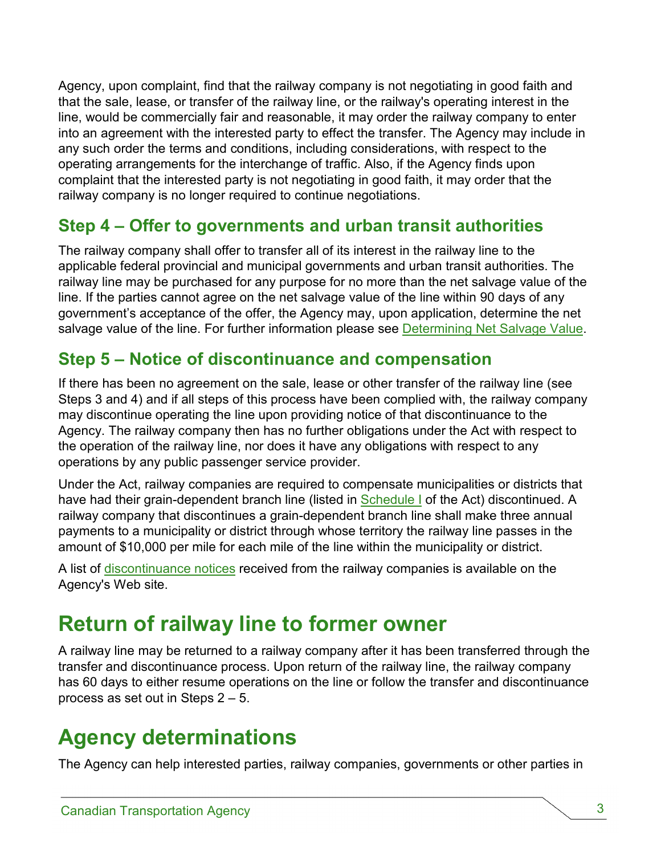Agency, upon complaint, find that the railway company is not negotiating in good faith and that the sale, lease, or transfer of the railway line, or the railway's operating interest in the line, would be commercially fair and reasonable, it may order the railway company to enter into an agreement with the interested party to effect the transfer. The Agency may include in any such order the terms and conditions, including considerations, with respect to the operating arrangements for the interchange of traffic. Also, if the Agency finds upon complaint that the interested party is not negotiating in good faith, it may order that the railway company is no longer required to continue negotiations.

### <span id="page-5-0"></span>**Step 4 – Offer to governments and urban transit authorities**

The railway company shall offer to transfer all of its interest in the railway line to the applicable federal provincial and municipal governments and urban transit authorities. The railway line may be purchased for any purpose for no more than the net salvage value of the line. If the parties cannot agree on the net salvage value of the line within 90 days of any government's acceptance of the offer, the Agency may, upon application, determine the net salvage value of the line. For further information please see [Determining Net Salvage Value.](http://www.otc-cta.gc.ca/eng/publication/determining-net-salvage-value)

### <span id="page-5-1"></span>**Step 5 – Notice of discontinuance and compensation**

If there has been no agreement on the sale, lease or other transfer of the railway line (see Steps 3 and 4) and if all steps of this process have been complied with, the railway company may discontinue operating the line upon providing notice of that discontinuance to the Agency. The railway company then has no further obligations under the Act with respect to the operation of the railway line, nor does it have any obligations with respect to any operations by any public passenger service provider.

Under the Act, railway companies are required to compensate municipalities or districts that have had their grain-dependent branch line (listed in [Schedule I](http://laws-lois.justice.gc.ca/eng/acts/C-10.4/FullText.html#h-99) of the Act) discontinued. A railway company that discontinues a grain-dependent branch line shall make three annual payments to a municipality or district through whose territory the railway line passes in the amount of \$10,000 per mile for each mile of the line within the municipality or district.

A list of [discontinuance notices](http://www.otc-cta.gc.ca/eng/notices-discontinuance-received-agency-under-section-146-july-1-1996) received from the railway companies is available on the Agency's Web site.

## <span id="page-5-2"></span>**Return of railway line to former owner**

A railway line may be returned to a railway company after it has been transferred through the transfer and discontinuance process. Upon return of the railway line, the railway company has 60 days to either resume operations on the line or follow the transfer and discontinuance process as set out in Steps 2 – 5.

## <span id="page-5-3"></span>**Agency determinations**

The Agency can help interested parties, railway companies, governments or other parties in